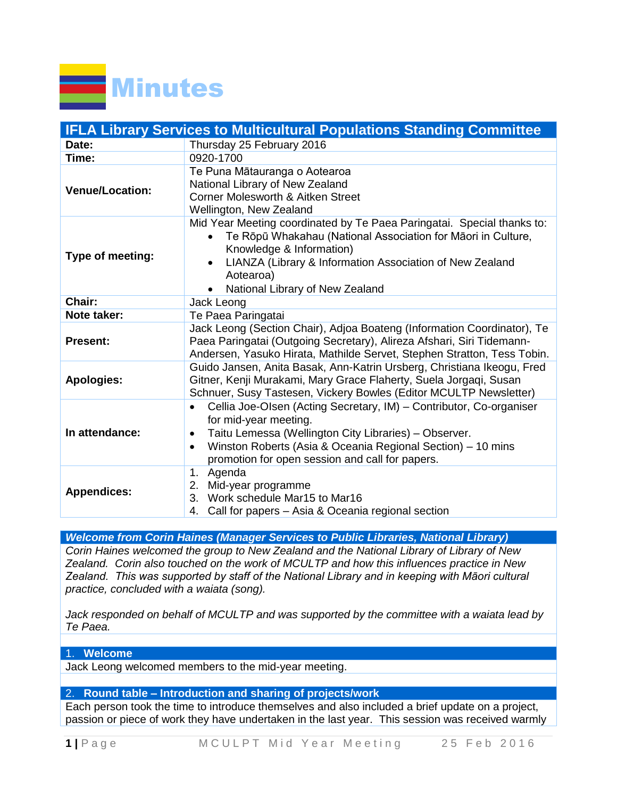

|                        | <b>IFLA Library Services to Multicultural Populations Standing Committee</b>                                                                                                                                                                                                                                          |
|------------------------|-----------------------------------------------------------------------------------------------------------------------------------------------------------------------------------------------------------------------------------------------------------------------------------------------------------------------|
| Date:                  | Thursday 25 February 2016                                                                                                                                                                                                                                                                                             |
| Time:                  | 0920-1700                                                                                                                                                                                                                                                                                                             |
| <b>Venue/Location:</b> | Te Puna Mātauranga o Aotearoa<br>National Library of New Zealand<br><b>Corner Molesworth &amp; Aitken Street</b><br>Wellington, New Zealand                                                                                                                                                                           |
| Type of meeting:       | Mid Year Meeting coordinated by Te Paea Paringatai. Special thanks to:<br>Te Rōpū Whakahau (National Association for Māori in Culture,<br>$\bullet$<br>Knowledge & Information)<br>LIANZA (Library & Information Association of New Zealand<br>$\bullet$<br>Aotearoa)<br>National Library of New Zealand<br>$\bullet$ |
| Chair:                 | Jack Leong                                                                                                                                                                                                                                                                                                            |
| Note taker:            | Te Paea Paringatai                                                                                                                                                                                                                                                                                                    |
| <b>Present:</b>        | Jack Leong (Section Chair), Adjoa Boateng (Information Coordinator), Te<br>Paea Paringatai (Outgoing Secretary), Alireza Afshari, Siri Tidemann-<br>Andersen, Yasuko Hirata, Mathilde Servet, Stephen Stratton, Tess Tobin.                                                                                           |
| <b>Apologies:</b>      | Guido Jansen, Anita Basak, Ann-Katrin Ursberg, Christiana Ikeogu, Fred<br>Gitner, Kenji Murakami, Mary Grace Flaherty, Suela Jorgagi, Susan<br>Schnuer, Susy Tastesen, Vickery Bowles (Editor MCULTP Newsletter)                                                                                                      |
| In attendance:         | Cellia Joe-Olsen (Acting Secretary, IM) - Contributor, Co-organiser<br>$\bullet$<br>for mid-year meeting.<br>Taitu Lemessa (Wellington City Libraries) - Observer.<br>$\bullet$<br>Winston Roberts (Asia & Oceania Regional Section) - 10 mins<br>$\bullet$<br>promotion for open session and call for papers.        |
| <b>Appendices:</b>     | Agenda<br>1.<br>2.<br>Mid-year programme<br>Work schedule Mar15 to Mar16<br>3.<br>Call for papers - Asia & Oceania regional section<br>4.                                                                                                                                                                             |

*Welcome from Corin Haines (Manager Services to Public Libraries, National Library)*

*Corin Haines welcomed the group to New Zealand and the National Library of Library of New Zealand. Corin also touched on the work of MCULTP and how this influences practice in New Zealand. This was supported by staff of the National Library and in keeping with Māori cultural practice, concluded with a waiata (song).*

*Jack responded on behalf of MCULTP and was supported by the committee with a waiata lead by Te Paea.*

# 1. **Welcome**

Jack Leong welcomed members to the mid-year meeting.

# 2. **Round table – Introduction and sharing of projects/work**

Each person took the time to introduce themselves and also included a brief update on a project, passion or piece of work they have undertaken in the last year. This session was received warmly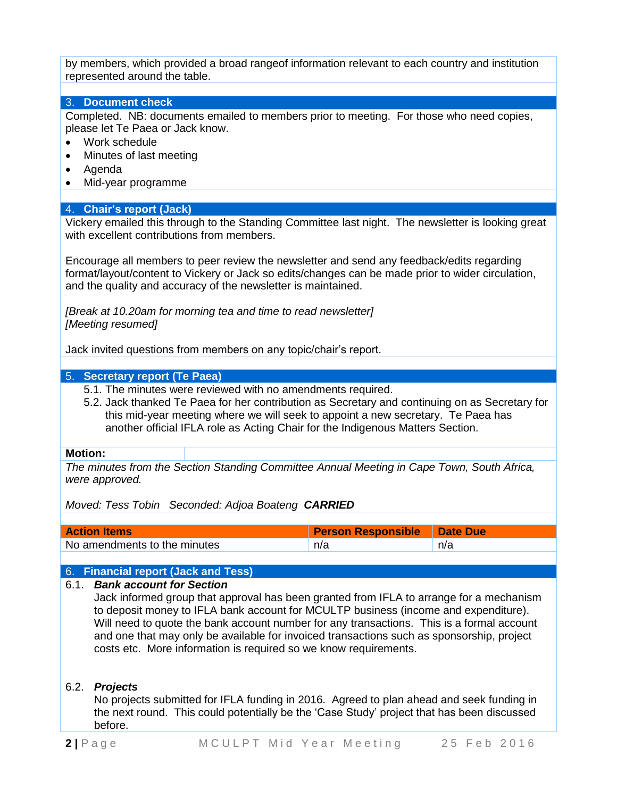by members, which provided a broad rangeof information relevant to each country and institution represented around the table.

# 3. **Document check**

Completed. NB: documents emailed to members prior to meeting. For those who need copies, please let Te Paea or Jack know.

- Work schedule
- Minutes of last meeting
- Agenda
- Mid-year programme

# 4. **Chair's report (Jack)**

Vickery emailed this through to the Standing Committee last night. The newsletter is looking great with excellent contributions from members.

Encourage all members to peer review the newsletter and send any feedback/edits regarding format/layout/content to Vickery or Jack so edits/changes can be made prior to wider circulation, and the quality and accuracy of the newsletter is maintained.

*[Break at 10.20am for morning tea and time to read newsletter] [Meeting resumed]*

Jack invited questions from members on any topic/chair's report.

# 5. **Secretary report (Te Paea)**

- 5.1. The minutes were reviewed with no amendments required.
- 5.2. Jack thanked Te Paea for her contribution as Secretary and continuing on as Secretary for this mid-year meeting where we will seek to appoint a new secretary. Te Paea has another official IFLA role as Acting Chair for the Indigenous Matters Section.

#### **Motion:**

*The minutes from the Section Standing Committee Annual Meeting in Cape Town, South Africa, were approved.*

*Moved: Tess Tobin Seconded: Adjoa Boateng CARRIED*

| <b>Action Items</b>          | Person Responsible   Date Due |     |
|------------------------------|-------------------------------|-----|
| No amendments to the minutes | n/a                           | n/a |

#### 6. **Financial report (Jack and Tess)**

#### 6.1. *Bank account for Section*

Jack informed group that approval has been granted from IFLA to arrange for a mechanism to deposit money to IFLA bank account for MCULTP business (income and expenditure). Will need to quote the bank account number for any transactions. This is a formal account and one that may only be available for invoiced transactions such as sponsorship, project costs etc. More information is required so we know requirements.

#### 6.2. *Projects*

No projects submitted for IFLA funding in 2016. Agreed to plan ahead and seek funding in the next round. This could potentially be the 'Case Study' project that has been discussed before.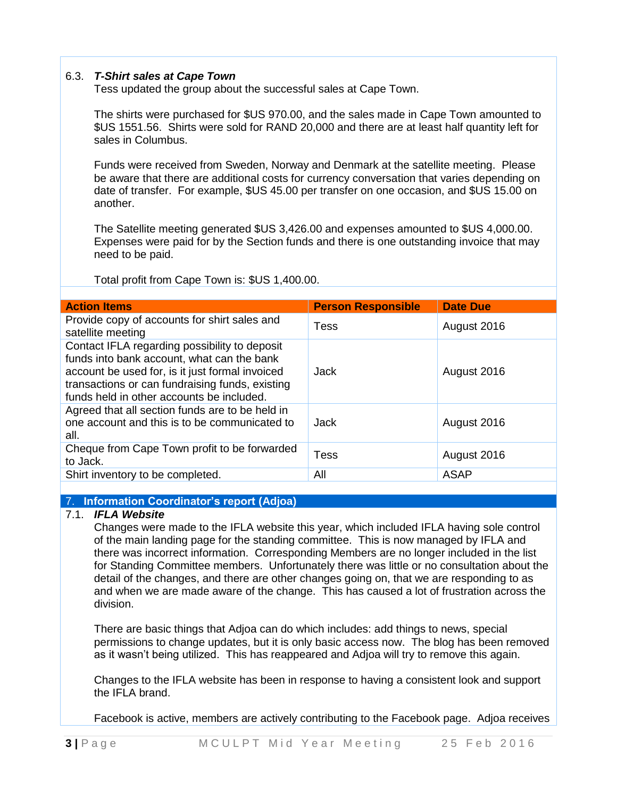# 6.3. *T-Shirt sales at Cape Town*

Tess updated the group about the successful sales at Cape Town.

The shirts were purchased for \$US 970.00, and the sales made in Cape Town amounted to \$US 1551.56. Shirts were sold for RAND 20,000 and there are at least half quantity left for sales in Columbus.

Funds were received from Sweden, Norway and Denmark at the satellite meeting. Please be aware that there are additional costs for currency conversation that varies depending on date of transfer. For example, \$US 45.00 per transfer on one occasion, and \$US 15.00 on another.

The Satellite meeting generated \$US 3,426.00 and expenses amounted to \$US 4,000.00. Expenses were paid for by the Section funds and there is one outstanding invoice that may need to be paid.

Total profit from Cape Town is: \$US 1,400.00.

| <b>Action Items</b>                                                                                                                                                                                                                            | <b>Person Responsible</b> | <b>Date Due</b> |
|------------------------------------------------------------------------------------------------------------------------------------------------------------------------------------------------------------------------------------------------|---------------------------|-----------------|
| Provide copy of accounts for shirt sales and<br>satellite meeting                                                                                                                                                                              | Tess                      | August 2016     |
| Contact IFLA regarding possibility to deposit<br>funds into bank account, what can the bank<br>account be used for, is it just formal invoiced<br>transactions or can fundraising funds, existing<br>funds held in other accounts be included. | Jack                      | August 2016     |
| Agreed that all section funds are to be held in<br>one account and this is to be communicated to<br>all.                                                                                                                                       | Jack                      | August 2016     |
| Cheque from Cape Town profit to be forwarded<br>to Jack.                                                                                                                                                                                       | Tess                      | August 2016     |
| Shirt inventory to be completed.                                                                                                                                                                                                               | All                       | <b>ASAP</b>     |

7. **Information Coordinator's report (Adjoa)**

# 7.1. *IFLA Website*

Changes were made to the IFLA website this year, which included IFLA having sole control of the main landing page for the standing committee. This is now managed by IFLA and there was incorrect information. Corresponding Members are no longer included in the list for Standing Committee members. Unfortunately there was little or no consultation about the detail of the changes, and there are other changes going on, that we are responding to as and when we are made aware of the change. This has caused a lot of frustration across the division.

There are basic things that Adjoa can do which includes: add things to news, special permissions to change updates, but it is only basic access now. The blog has been removed as it wasn't being utilized. This has reappeared and Adjoa will try to remove this again.

Changes to the IFLA website has been in response to having a consistent look and support the IFLA brand.

Facebook is active, members are actively contributing to the Facebook page. Adjoa receives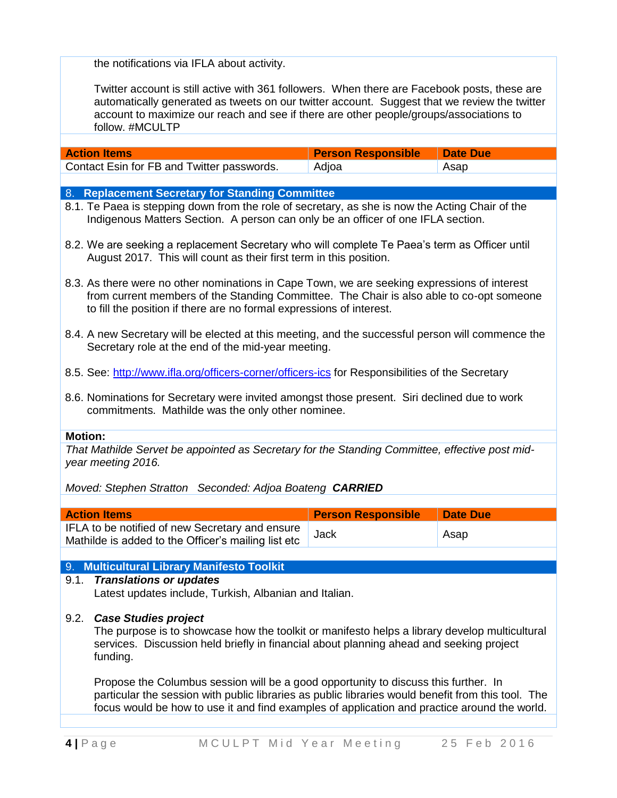the notifications via IFLA about activity.

Twitter account is still active with 361 followers. When there are Facebook posts, these are automatically generated as tweets on our twitter account. Suggest that we review the twitter account to maximize our reach and see if there are other people/groups/associations to follow. #MCULTP

| <b>Action Items</b>                        | <b>Person Responsible   Date Due</b> |      |
|--------------------------------------------|--------------------------------------|------|
| Contact Esin for FB and Twitter passwords. | Adjoa                                | Asap |

## 8. **Replacement Secretary for Standing Committee**

- 8.1. Te Paea is stepping down from the role of secretary, as she is now the Acting Chair of the Indigenous Matters Section. A person can only be an officer of one IFLA section.
- 8.2. We are seeking a replacement Secretary who will complete Te Paea's term as Officer until August 2017. This will count as their first term in this position.
- 8.3. As there were no other nominations in Cape Town, we are seeking expressions of interest from current members of the Standing Committee. The Chair is also able to co-opt someone to fill the position if there are no formal expressions of interest.
- 8.4. A new Secretary will be elected at this meeting, and the successful person will commence the Secretary role at the end of the mid-year meeting.
- 8.5. See:<http://www.ifla.org/officers-corner/officers-ics> for Responsibilities of the Secretary
- 8.6. Nominations for Secretary were invited amongst those present. Siri declined due to work commitments. Mathilde was the only other nominee.

#### **Motion:**

*That Mathilde Servet be appointed as Secretary for the Standing Committee, effective post midyear meeting 2016.*

*Moved: Stephen Stratton Seconded: Adjoa Boateng CARRIED*

| <b>Action Items</b>                                                                                    | <b>Person Responsible</b> | <b>Date Due</b> |
|--------------------------------------------------------------------------------------------------------|---------------------------|-----------------|
| IFLA to be notified of new Secretary and ensure<br>Mathilde is added to the Officer's mailing list etc | Jack                      | Asap            |

# 9. **Multicultural Library Manifesto Toolkit**

## 9.1. *Translations or updates* Latest updates include, Turkish, Albanian and Italian.

#### 9.2. *Case Studies project*

The purpose is to showcase how the toolkit or manifesto helps a library develop multicultural services. Discussion held briefly in financial about planning ahead and seeking project funding.

Propose the Columbus session will be a good opportunity to discuss this further. In particular the session with public libraries as public libraries would benefit from this tool. The focus would be how to use it and find examples of application and practice around the world.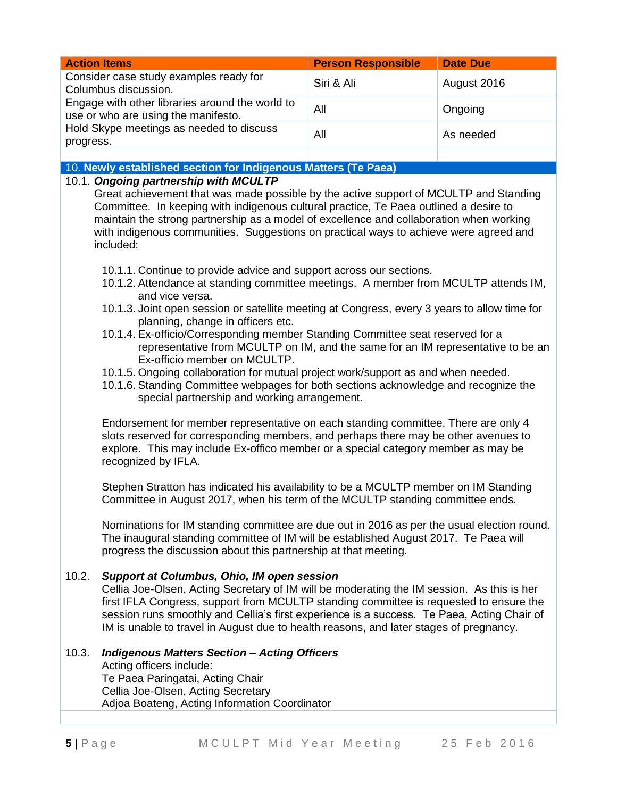| <b>Action Items</b>                                                                                                                                                                                                                                                                                                                                                                                                      | <b>Person Responsible</b> | <b>Date Due</b> |  |
|--------------------------------------------------------------------------------------------------------------------------------------------------------------------------------------------------------------------------------------------------------------------------------------------------------------------------------------------------------------------------------------------------------------------------|---------------------------|-----------------|--|
| Consider case study examples ready for<br>Columbus discussion.                                                                                                                                                                                                                                                                                                                                                           | Siri & Ali                | August 2016     |  |
| Engage with other libraries around the world to<br>use or who are using the manifesto.                                                                                                                                                                                                                                                                                                                                   | All                       | Ongoing         |  |
| Hold Skype meetings as needed to discuss<br>progress.                                                                                                                                                                                                                                                                                                                                                                    | All                       | As needed       |  |
|                                                                                                                                                                                                                                                                                                                                                                                                                          |                           |                 |  |
| 10. Newly established section for Indigenous Matters (Te Paea)                                                                                                                                                                                                                                                                                                                                                           |                           |                 |  |
| 10.1. Ongoing partnership with MCULTP<br>Great achievement that was made possible by the active support of MCULTP and Standing<br>Committee. In keeping with indigenous cultural practice, Te Paea outlined a desire to<br>maintain the strong partnership as a model of excellence and collaboration when working<br>with indigenous communities. Suggestions on practical ways to achieve were agreed and<br>included: |                           |                 |  |
| 10.1.1. Continue to provide advice and support across our sections.<br>10.1.2. Attendance at standing committee meetings. A member from MCULTP attends IM,<br>and vice versa.<br>10.1.3. Joint open session or satellite meeting at Congress, every 3 years to allow time for<br>planning, change in officers etc.                                                                                                       |                           |                 |  |
| 10.1.4. Ex-officio/Corresponding member Standing Committee seat reserved for a                                                                                                                                                                                                                                                                                                                                           |                           |                 |  |

- 10.1.4. Ex-officio/Corresponding member Standing Committee seat reserved for a representative from MCULTP on IM, and the same for an IM representative to be an Ex-officio member on MCULTP.
- 10.1.5. Ongoing collaboration for mutual project work/support as and when needed.
- 10.1.6. Standing Committee webpages for both sections acknowledge and recognize the special partnership and working arrangement.

Endorsement for member representative on each standing committee. There are only 4 slots reserved for corresponding members, and perhaps there may be other avenues to explore. This may include Ex-offico member or a special category member as may be recognized by IFLA.

Stephen Stratton has indicated his availability to be a MCULTP member on IM Standing Committee in August 2017, when his term of the MCULTP standing committee ends.

Nominations for IM standing committee are due out in 2016 as per the usual election round. The inaugural standing committee of IM will be established August 2017. Te Paea will progress the discussion about this partnership at that meeting.

# 10.2. *Support at Columbus, Ohio, IM open session*

Cellia Joe-Olsen, Acting Secretary of IM will be moderating the IM session. As this is her first IFLA Congress, support from MCULTP standing committee is requested to ensure the session runs smoothly and Cellia's first experience is a success. Te Paea, Acting Chair of IM is unable to travel in August due to health reasons, and later stages of pregnancy.

# 10.3. *Indigenous Matters Section – Acting Officers*

Acting officers include: Te Paea Paringatai, Acting Chair Cellia Joe-Olsen, Acting Secretary Adjoa Boateng, Acting Information Coordinator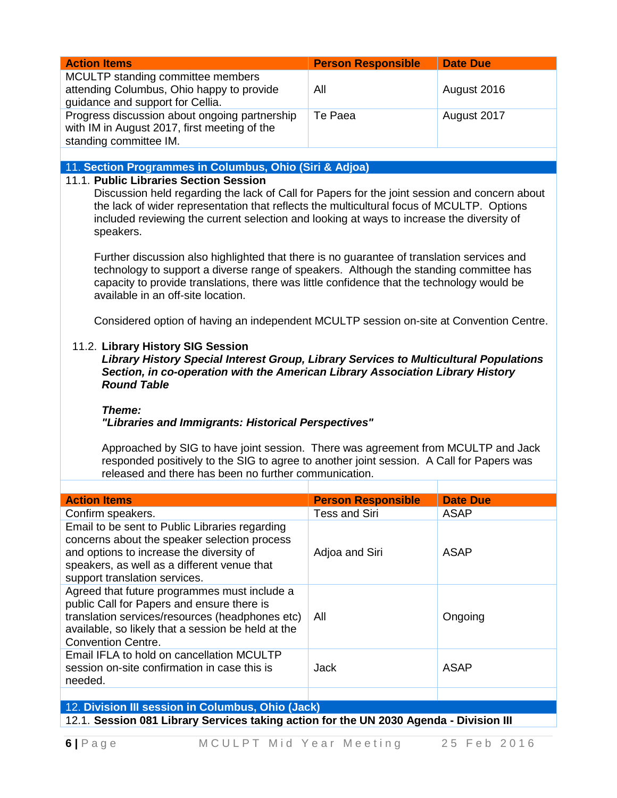| <b>Action Items</b>                                                                                                                                                                                                                                                                                                      | <b>Person Responsible</b> | <b>Date Due</b> |
|--------------------------------------------------------------------------------------------------------------------------------------------------------------------------------------------------------------------------------------------------------------------------------------------------------------------------|---------------------------|-----------------|
| MCULTP standing committee members<br>attending Columbus, Ohio happy to provide<br>guidance and support for Cellia.                                                                                                                                                                                                       | All                       | August 2016     |
| Progress discussion about ongoing partnership<br>with IM in August 2017, first meeting of the<br>standing committee IM.                                                                                                                                                                                                  | Te Paea                   | August 2017     |
|                                                                                                                                                                                                                                                                                                                          |                           |                 |
| 11. Section Programmes in Columbus, Ohio (Siri & Adjoa)                                                                                                                                                                                                                                                                  |                           |                 |
| Discussion held regarding the lack of Call for Papers for the joint session and concern about<br>the lack of wider representation that reflects the multicultural focus of MCULTP. Options<br>included reviewing the current selection and looking at ways to increase the diversity of<br>speakers.                     |                           |                 |
| Further discussion also highlighted that there is no guarantee of translation services and<br>technology to support a diverse range of speakers. Although the standing committee has<br>capacity to provide translations, there was little confidence that the technology would be<br>available in an off-site location. |                           |                 |
| Considered option of having an independent MCULTP session on-site at Convention Centre.                                                                                                                                                                                                                                  |                           |                 |
| 11.2. Library History SIG Session<br>Library History Special Interest Group, Library Services to Multicultural Populations                                                                                                                                                                                               |                           |                 |

*Library History Special Interest Group, Library Services to Multicultural Populations Section, in co-operation with the American Library Association Library History Round Table*

#### *Theme:*

## *"Libraries and Immigrants: Historical Perspectives"*

Approached by SIG to have joint session. There was agreement from MCULTP and Jack responded positively to the SIG to agree to another joint session. A Call for Papers was released and there has been no further communication.

| <b>Action Items</b>                                                                                                                                                                                                              | <b>Person Responsible</b> | <b>Date Due</b> |
|----------------------------------------------------------------------------------------------------------------------------------------------------------------------------------------------------------------------------------|---------------------------|-----------------|
| Confirm speakers.                                                                                                                                                                                                                | Tess and Siri             | ASAP            |
| Email to be sent to Public Libraries regarding<br>concerns about the speaker selection process<br>and options to increase the diversity of<br>speakers, as well as a different venue that<br>support translation services.       | Adjoa and Siri            | ASAP            |
| Agreed that future programmes must include a<br>public Call for Papers and ensure there is<br>translation services/resources (headphones etc)<br>available, so likely that a session be held at the<br><b>Convention Centre.</b> | All                       | Ongoing         |
| Email IFLA to hold on cancellation MCULTP<br>session on-site confirmation in case this is<br>needed.                                                                                                                             | <b>Jack</b>               | <b>ASAP</b>     |
|                                                                                                                                                                                                                                  |                           |                 |
| 12 Division III session in Columbus, Ohio (Josh)                                                                                                                                                                                 |                           |                 |

12. **Division III session in Columbus, Ohio (Jack)** 12.1. **Session 081 Library Services taking action for the UN 2030 Agenda - Division III**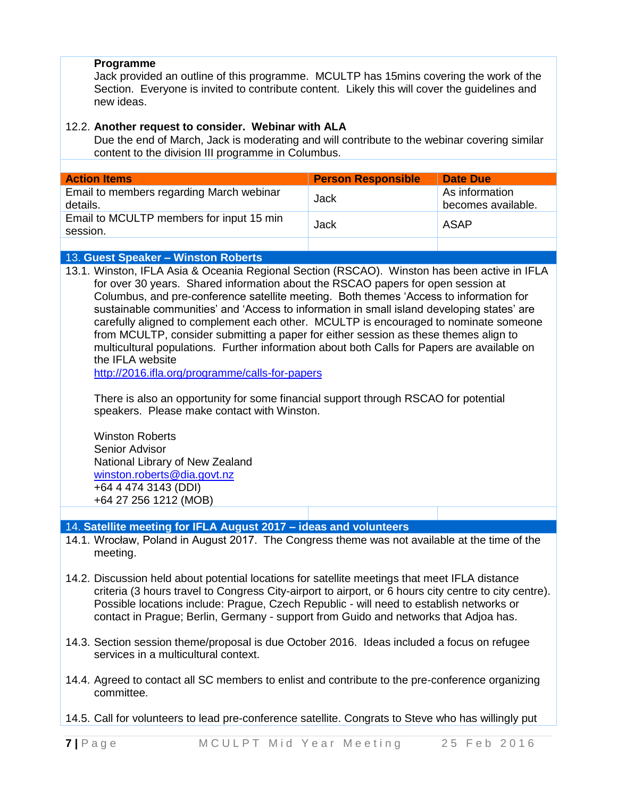# **Programme**

Jack provided an outline of this programme. MCULTP has 15mins covering the work of the Section. Everyone is invited to contribute content. Likely this will cover the guidelines and new ideas.

# 12.2. **Another request to consider. Webinar with ALA**

Due the end of March, Jack is moderating and will contribute to the webinar covering similar content to the division III programme in Columbus.

| <b>Action Items</b>                                  | <b>Person Responsible</b> | Date Due                             |
|------------------------------------------------------|---------------------------|--------------------------------------|
| Email to members regarding March webinar<br>details. | Jack                      | As information<br>becomes available. |
| Email to MCULTP members for input 15 min<br>session. | Jack                      | ASAP                                 |
|                                                      |                           |                                      |

# 13. **Guest Speaker – Winston Roberts**

13.1. Winston, IFLA Asia & Oceania Regional Section (RSCAO). Winston has been active in IFLA for over 30 years. Shared information about the RSCAO papers for open session at Columbus, and pre-conference satellite meeting. Both themes 'Access to information for sustainable communities' and 'Access to information in small island developing states' are carefully aligned to complement each other. MCULTP is encouraged to nominate someone from MCULTP, consider submitting a paper for either session as these themes align to multicultural populations. Further information about both Calls for Papers are available on the IFLA website

<http://2016.ifla.org/programme/calls-for-papers>

There is also an opportunity for some financial support through RSCAO for potential speakers. Please make contact with Winston.

Winston Roberts Senior Advisor National Library of New Zealand [winston.roberts@dia.govt.nz](mailto:winston.roberts@dia.govt.nz) +64 4 474 3143 (DDI) +64 27 256 1212 (MOB)

# 14. **Satellite meeting for IFLA August 2017 – ideas and volunteers**

- 14.1. Wrocław, Poland in August 2017. The Congress theme was not available at the time of the meeting.
- 14.2. Discussion held about potential locations for satellite meetings that meet IFLA distance criteria (3 hours travel to Congress City-airport to airport, or 6 hours city centre to city centre). Possible locations include: Prague, Czech Republic - will need to establish networks or contact in Prague; Berlin, Germany - support from Guido and networks that Adjoa has.
- 14.3. Section session theme/proposal is due October 2016. Ideas included a focus on refugee services in a multicultural context.
- 14.4. Agreed to contact all SC members to enlist and contribute to the pre-conference organizing committee.
- 14.5. Call for volunteers to lead pre-conference satellite. Congrats to Steve who has willingly put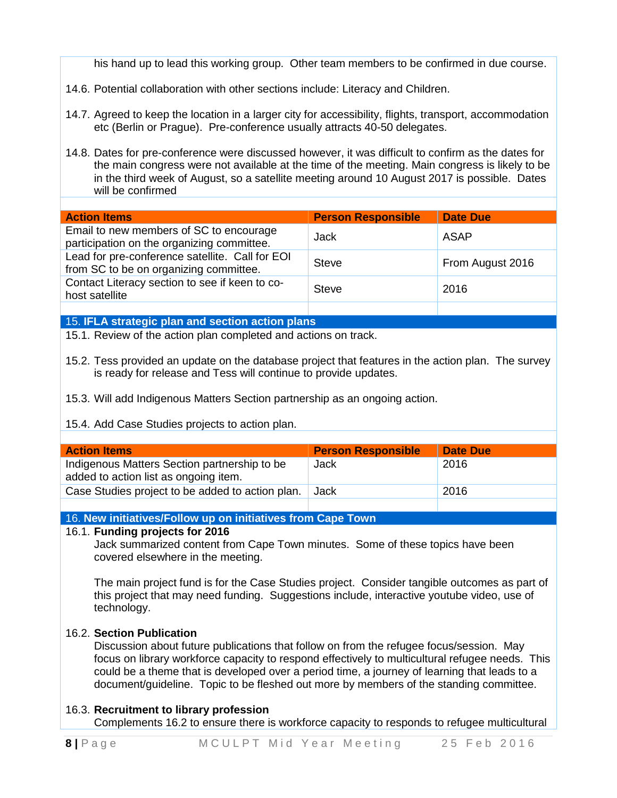his hand up to lead this working group. Other team members to be confirmed in due course.

- 14.6. Potential collaboration with other sections include: Literacy and Children.
- 14.7. Agreed to keep the location in a larger city for accessibility, flights, transport, accommodation etc (Berlin or Prague). Pre-conference usually attracts 40-50 delegates.
- 14.8. Dates for pre-conference were discussed however, it was difficult to confirm as the dates for the main congress were not available at the time of the meeting. Main congress is likely to be in the third week of August, so a satellite meeting around 10 August 2017 is possible. Dates will be confirmed

| <b>Action Items</b>                                                                       | <b>Person Responsible</b> | <b>Date Due</b>  |
|-------------------------------------------------------------------------------------------|---------------------------|------------------|
| Email to new members of SC to encourage<br>participation on the organizing committee.     | Jack                      | ASAP             |
| Lead for pre-conference satellite. Call for EOI<br>from SC to be on organizing committee. | <b>Steve</b>              | From August 2016 |
| Contact Literacy section to see if keen to co-<br>host satellite                          | <b>Steve</b>              | 2016             |
|                                                                                           |                           |                  |

#### 15. **IFLA strategic plan and section action plans**

15.1. Review of the action plan completed and actions on track.

- 15.2. Tess provided an update on the database project that features in the action plan. The survey is ready for release and Tess will continue to provide updates.
- 15.3. Will add Indigenous Matters Section partnership as an ongoing action.

# 15.4. Add Case Studies projects to action plan.

| <b>Action Items</b>                                                                   | <b>Person Responsible</b> | Date Due |
|---------------------------------------------------------------------------------------|---------------------------|----------|
| Indigenous Matters Section partnership to be<br>added to action list as ongoing item. | Jack                      | 2016     |
| Case Studies project to be added to action plan.                                      | Jack                      | 2016     |

# 16. **New initiatives/Follow up on initiatives from Cape Town**

#### 16.1. **Funding projects for 2016**

Jack summarized content from Cape Town minutes. Some of these topics have been covered elsewhere in the meeting.

The main project fund is for the Case Studies project. Consider tangible outcomes as part of this project that may need funding. Suggestions include, interactive youtube video, use of technology.

# 16.2. **Section Publication**

Discussion about future publications that follow on from the refugee focus/session. May focus on library workforce capacity to respond effectively to multicultural refugee needs. This could be a theme that is developed over a period time, a journey of learning that leads to a document/guideline. Topic to be fleshed out more by members of the standing committee.

# 16.3. **Recruitment to library profession**

Complements 16.2 to ensure there is workforce capacity to responds to refugee multicultural